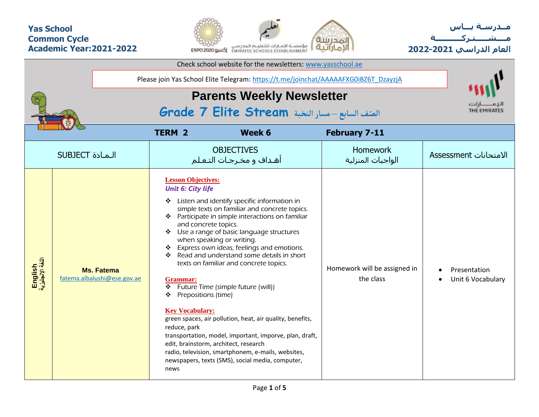## **Yas School Common Cycle Academic Year:2021-2022**



**مــدرسـة يـــاس مــــشـ ـــ ـتـ ركـ ــــــــــ ة العام الدراسي -2021 2022**

|                             |                                                  |  | Check school website for the newsletters: www.yasschool.ae                                                                                                                                  |                                                                                                                                                                                                                                                                                                                                                                                                                                                                                                                                                                                                                                                                                  |                                           |                                   |
|-----------------------------|--------------------------------------------------|--|---------------------------------------------------------------------------------------------------------------------------------------------------------------------------------------------|----------------------------------------------------------------------------------------------------------------------------------------------------------------------------------------------------------------------------------------------------------------------------------------------------------------------------------------------------------------------------------------------------------------------------------------------------------------------------------------------------------------------------------------------------------------------------------------------------------------------------------------------------------------------------------|-------------------------------------------|-----------------------------------|
|                             |                                                  |  |                                                                                                                                                                                             | Please join Yas School Elite Telegram: https://t.me/joinchat/AAAAAFXG0iBZ6T_DzayzjA                                                                                                                                                                                                                                                                                                                                                                                                                                                                                                                                                                                              |                                           |                                   |
|                             |                                                  |  |                                                                                                                                                                                             |                                                                                                                                                                                                                                                                                                                                                                                                                                                                                                                                                                                                                                                                                  |                                           |                                   |
|                             |                                                  |  | الصّف السابع - مسار النخبة Grade 7 Elite Stream                                                                                                                                             |                                                                                                                                                                                                                                                                                                                                                                                                                                                                                                                                                                                                                                                                                  |                                           |                                   |
|                             |                                                  |  | <b>TERM 2</b>                                                                                                                                                                               | Week 6                                                                                                                                                                                                                                                                                                                                                                                                                                                                                                                                                                                                                                                                           | <b>February 7-11</b>                      |                                   |
|                             | <b>SUBJECT</b> الـمـادة                          |  |                                                                                                                                                                                             | <b>OBJECTIVES</b><br>أهـداف و مخـرجـات التـعـلم                                                                                                                                                                                                                                                                                                                                                                                                                                                                                                                                                                                                                                  | <b>Homework</b><br>الواجبات المنزلية      | الامتحانات Assessment             |
| English<br>اللغة الإنجليزية | <b>Ms. Fatema</b><br>fatema.albalushi@ese.gov.ae |  | <b>Lesson Objectives:</b><br><b>Unit 6: City life</b><br>❖<br>and concrete topics.<br>❖<br>❖<br>Grammar:<br>❖<br>Prepositions (time)<br>❖<br><b>Key Vocabulary:</b><br>reduce, park<br>news | Listen and identify specific information in<br>simple texts on familiar and concrete topics.<br>❖ Participate in simple interactions on familiar<br>Use a range of basic language structures<br>when speaking or writing.<br>* Express own ideas, feelings and emotions.<br>Read and understand some details in short<br>texts on familiar and concrete topics.<br>Future Time (simple future (will))<br>green spaces, air pollution, heat, air quality, benefits,<br>transportation, model, important, imporve, plan, draft,<br>edit, brainstorm, architect, research<br>radio, television, smartphonem, e-mails, websites,<br>newspapers, texts (SMS), social media, computer, | Homework will be assigned in<br>the class | Presentation<br>Unit 6 Vocabulary |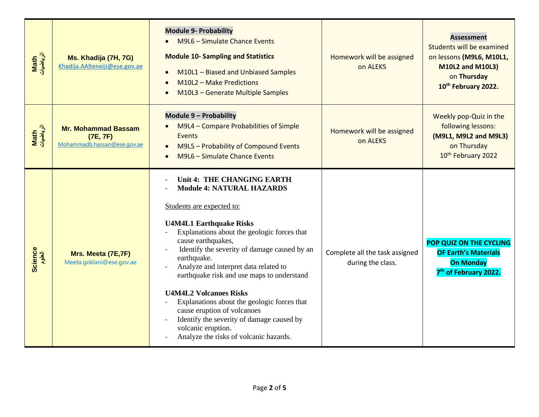| Math<br>الرياضيات | Ms. Khadija (7H, 7G)<br>Khadija.AAlteneiji@ese.gov.ae                 | <b>Module 9- Probability</b><br>M9L6 - Simulate Chance Events<br><b>Module 10- Sampling and Statistics</b><br>M10L1 - Biased and Unbiased Samples<br>$\bullet$<br>M10L2 - Make Predictions<br>$\bullet$<br>M10L3 - Generate Multiple Samples<br>$\bullet$                                                                                                                                                                                                                                                                                                                            | Homework will be assigned<br>on ALEKS               | <b>Assessment</b><br>Students will be examined<br>on lessons (M9L6, M10L1,<br><b>M10L2 and M10L3)</b><br>on Thursday<br>10th February 2022. |  |  |  |  |
|-------------------|-----------------------------------------------------------------------|--------------------------------------------------------------------------------------------------------------------------------------------------------------------------------------------------------------------------------------------------------------------------------------------------------------------------------------------------------------------------------------------------------------------------------------------------------------------------------------------------------------------------------------------------------------------------------------|-----------------------------------------------------|---------------------------------------------------------------------------------------------------------------------------------------------|--|--|--|--|
| Math<br>الرياضيات | <b>Mr. Mohammad Bassam</b><br>(7E, 7F)<br>Mohammadb.hassan@ese.gov.ae | Module 9 - Probability<br>M9L4 - Compare Probabilities of Simple<br>Events<br>M9L5 - Probability of Compound Events<br>$\bullet$<br>M9L6 - Simulate Chance Events                                                                                                                                                                                                                                                                                                                                                                                                                    | Homework will be assigned<br>on ALEKS               | Weekly pop-Quiz in the<br>following lessons:<br>(M9L1, M9L2 and M9L3)<br>on Thursday<br>10 <sup>th</sup> February 2022                      |  |  |  |  |
| Science<br>العلوم | Mrs. Meeta (7E,7F)<br>Meeta.goklani@ese.gov.ae                        | Unit 4: THE CHANGING EARTH<br><b>Module 4: NATURAL HAZARDS</b><br>Students are expected to:<br><b>U4M4L1 Earthquake Risks</b><br>Explanations about the geologic forces that<br>cause earthquakes,<br>Identify the severity of damage caused by an<br>earthquake.<br>Analyze and interpret data related to<br>earthquake risk and use maps to understand<br><b>U4M4L2 Volcanoes Risks</b><br>Explanations about the geologic forces that<br>cause eruption of volcanoes<br>Identify the severity of damage caused by<br>volcanic eruption.<br>Analyze the risks of volcanic hazards. | Complete all the task assigned<br>during the class. | POP QUIZ ON THE CYCLING<br><b>OF Earth's Materials</b><br><b>On Monday</b><br>7 <sup>th</sup> of February 2022.                             |  |  |  |  |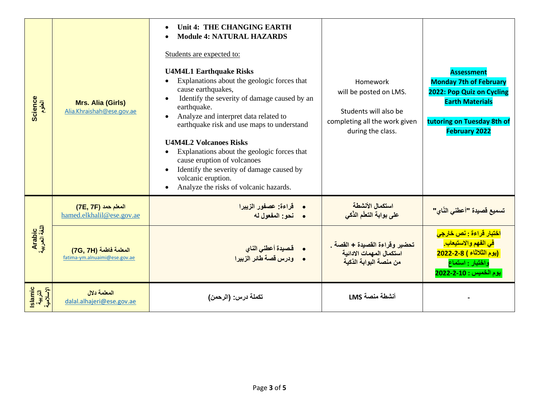| Science<br>العلوم       | <b>Mrs. Alia (Girls)</b><br>Alia.Khraishah@ese.gov.ae   | Unit 4: THE CHANGING EARTH<br>$\bullet$<br><b>Module 4: NATURAL HAZARDS</b><br>$\bullet$<br>Students are expected to:<br><b>U4M4L1 Earthquake Risks</b><br>Explanations about the geologic forces that<br>$\bullet$<br>cause earthquakes,<br>Identify the severity of damage caused by an<br>$\bullet$<br>earthquake.<br>Analyze and interpret data related to<br>earthquake risk and use maps to understand<br><b>U4M4L2 Volcanoes Risks</b><br>Explanations about the geologic forces that<br>$\bullet$<br>cause eruption of volcanoes<br>Identify the severity of damage caused by<br>$\bullet$<br>volcanic eruption.<br>Analyze the risks of volcanic hazards.<br>$\bullet$ | Homework<br>will be posted on LMS.<br>Students will also be<br>completing all the work given<br>during the class. | <b>Assessment</b><br><b>Monday 7th of February</b><br>2022: Pop Quiz on Cycling<br><b>Earth Materials</b><br>tutoring on Tuesday 8th of<br><b>February 2022</b>    |
|-------------------------|---------------------------------------------------------|---------------------------------------------------------------------------------------------------------------------------------------------------------------------------------------------------------------------------------------------------------------------------------------------------------------------------------------------------------------------------------------------------------------------------------------------------------------------------------------------------------------------------------------------------------------------------------------------------------------------------------------------------------------------------------|-------------------------------------------------------------------------------------------------------------------|--------------------------------------------------------------------------------------------------------------------------------------------------------------------|
|                         | المعلم حمد (7E, 7F)<br>hamed.elkhalil@ese.gov.ae        | • قراءة: عصفور الزيبرا<br>· نحو: المفعول له                                                                                                                                                                                                                                                                                                                                                                                                                                                                                                                                                                                                                                     | استكمال الأنشطة<br>على بوابة التعلّم الذّكي                                                                       | <mark>تسميع قصيدة "أعطنى النّاي"</mark>                                                                                                                            |
| Arabic<br>اللغة العربية | المعلمة فاطمة (7G, 7H)<br>fatima-ym.alnuaimi@ese.gov.ae | • فصيدة أعطني الناي<br>• ودرس قصة طائر الزبيرا                                                                                                                                                                                                                                                                                                                                                                                                                                                                                                                                                                                                                                  | تحضير وقراءة القصيدة + القصة<br>استكمال المهمات الادائية<br>من منصة البوابة الذكية                                | <mark>اختبار قراءة : نص خارجي</mark><br><mark>في الفهم والاستيعاب.</mark><br><mark>(يوم الثلاثاء ) 2-2-2022</mark><br>واختبار : استماع<br>يوم الخميس : 2022-2-2022 |
| slamic<br>44. Ji        | المعلمة دلال<br>dalal.alhajeri@ese.gov.ae               | تكملة درس: (الرحمن)                                                                                                                                                                                                                                                                                                                                                                                                                                                                                                                                                                                                                                                             | أنشطة منصة LMS                                                                                                    |                                                                                                                                                                    |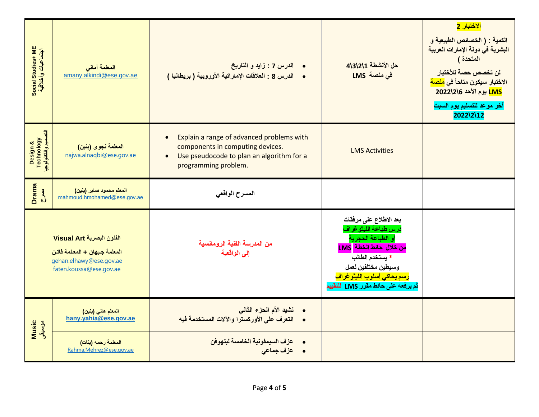| Social Studies+ ME<br>اجتماعیات وأخلاقیة       | المعلمة أمانى<br>amany.alkindi@ese.gov.ae                                                                       | • الدرس 7 : زايد و التاريخ<br>• الدرس 8 : العلاقات الإماراتية الأوروبية ( بريطانيا )                                                                                         | حل الأنشطة 1\2\3\2 <br>في منصة LMS                                                                                                                                                                                        | الاختبار 2<br>الكمية : ( الخصائص الطبيعية و<br>البشرية في دولة الإمارات العربية<br>المتحدة )<br>لن تخصص حصة للأختبار<br>الاختبار سيكون متاحاً في <mark>منصة</mark><br><mark>LMS يوم الأحد 2022\2</mark> \6<br>آخر موعد للتسليم يوم السبت<br>2022\2\12 |
|------------------------------------------------|-----------------------------------------------------------------------------------------------------------------|------------------------------------------------------------------------------------------------------------------------------------------------------------------------------|---------------------------------------------------------------------------------------------------------------------------------------------------------------------------------------------------------------------------|-------------------------------------------------------------------------------------------------------------------------------------------------------------------------------------------------------------------------------------------------------|
| Design &<br>Technology<br>انتصعیم وانتکنولوجیا | المعلمة نجوى (بنين)<br>najwa.alnaqbi@ese.gov.ae                                                                 | Explain a range of advanced problems with<br>$\bullet$<br>components in computing devices.<br>Use pseudocode to plan an algorithm for a<br>$\bullet$<br>programming problem. | <b>LMS Activities</b>                                                                                                                                                                                                     |                                                                                                                                                                                                                                                       |
| <b>Drama</b><br>$\sum_{i=1}^{n}$               | المعلم محمود صابر (بنين)<br>mahmoud.hmohamed@ese.gov.ae                                                         | المسرح الواقعى                                                                                                                                                               |                                                                                                                                                                                                                           |                                                                                                                                                                                                                                                       |
|                                                | الفنون البصرية Visual Art<br>المعلمة جيهان + المعلمة فاتن<br>gehan.elhawy@ese.gov.ae<br>faten.koussa@ese.gov.ae | من المدرسة الفنية الرومانسية<br>إلى الواقعية                                                                                                                                 | بعد الاطلاع على مرفقات<br>درس طباعة الليثوغراف<br>أو الطباعة الحجرية<br><mark>LMS من خلال حائط الخطة</mark><br>* يستخدم الطالب<br>وسيطين مختلفين لعمل<br>رسم يحاكى أسلوب الليتوغراف<br>ثم يرفعه على حائط مقرر LMS للتقييم |                                                                                                                                                                                                                                                       |
| Music<br>موسيقى                                | المعلم هاني (بنين)<br>hany.yahia@ese.gov.ae                                                                     | • نشيد الأم الحزء الثاني<br>• التعرف على الأوركسترا والآلات المستخدمة فيه                                                                                                    |                                                                                                                                                                                                                           |                                                                                                                                                                                                                                                       |
|                                                | المعلمة رحمه (بنات)<br>Rahma.Mehrez@ese.gov.ae                                                                  | عزف السيمفونية الخامسة لبتهوفن<br>• عزف جماعى                                                                                                                                |                                                                                                                                                                                                                           |                                                                                                                                                                                                                                                       |